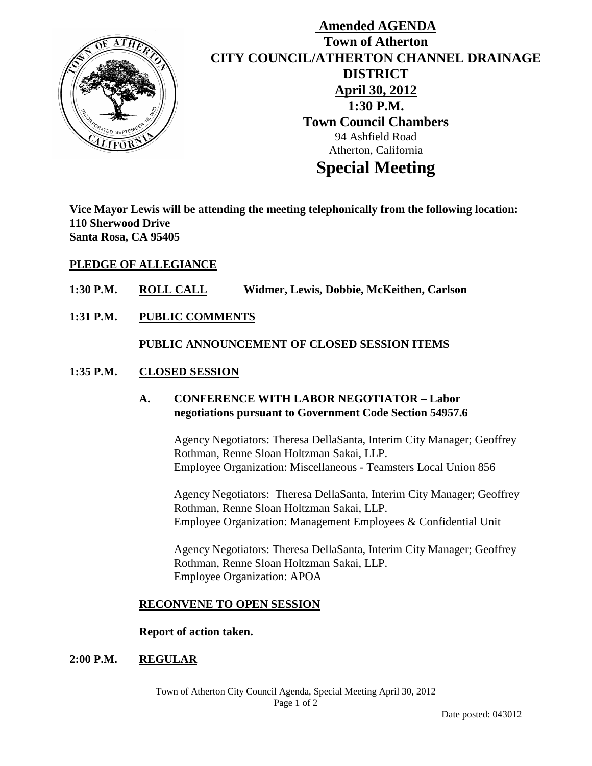

# **Amended AGENDA Town of Atherton CITY COUNCIL/ATHERTON CHANNEL DRAINAGE DISTRICT April 30, 2012 1:30 P.M. Town Council Chambers** 94 Ashfield Road Atherton, California **Special Meeting**

**Vice Mayor Lewis will be attending the meeting telephonically from the following location: 110 Sherwood Drive Santa Rosa, CA 95405**

### **PLEDGE OF ALLEGIANCE**

- **1:30 P.M. ROLL CALL Widmer, Lewis, Dobbie, McKeithen, Carlson**
- **1:31 P.M. PUBLIC COMMENTS**

#### **PUBLIC ANNOUNCEMENT OF CLOSED SESSION ITEMS**

#### **1:35 P.M. CLOSED SESSION**

# **A. CONFERENCE WITH LABOR NEGOTIATOR – Labor negotiations pursuant to Government Code Section 54957.6**

Agency Negotiators: Theresa DellaSanta, Interim City Manager; Geoffrey Rothman, Renne Sloan Holtzman Sakai, LLP. Employee Organization: Miscellaneous - Teamsters Local Union 856

Agency Negotiators: Theresa DellaSanta, Interim City Manager; Geoffrey Rothman, Renne Sloan Holtzman Sakai, LLP. Employee Organization: Management Employees & Confidential Unit

Agency Negotiators: Theresa DellaSanta, Interim City Manager; Geoffrey Rothman, Renne Sloan Holtzman Sakai, LLP. Employee Organization: APOA

#### **RECONVENE TO OPEN SESSION**

#### **Report of action taken.**

#### **2:00 P.M. REGULAR**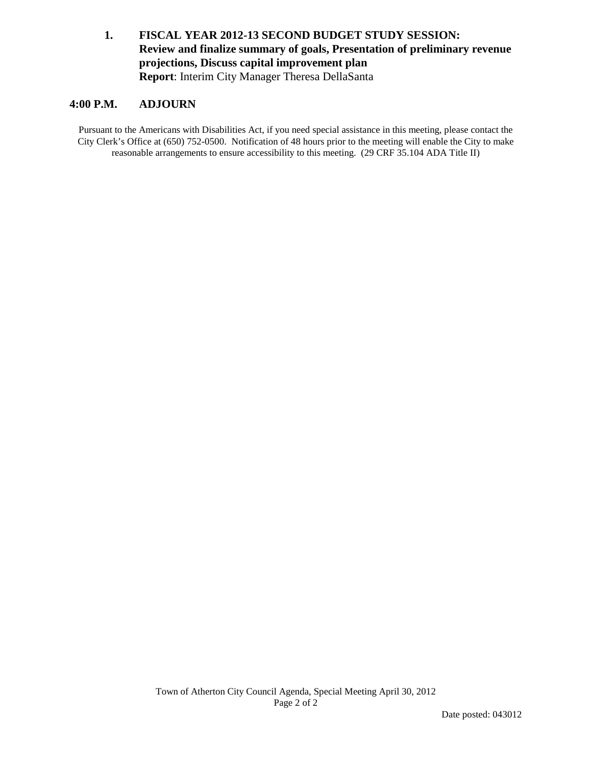# **1. FISCAL YEAR 2012-13 SECOND BUDGET STUDY SESSION: Review and finalize summary of goals, Presentation of preliminary revenue projections, Discuss capital improvement plan Report**: Interim City Manager Theresa DellaSanta

#### **4:00 P.M. ADJOURN**

Pursuant to the Americans with Disabilities Act, if you need special assistance in this meeting, please contact the City Clerk's Office at (650) 752-0500. Notification of 48 hours prior to the meeting will enable the City to make reasonable arrangements to ensure accessibility to this meeting. (29 CRF 35.104 ADA Title II)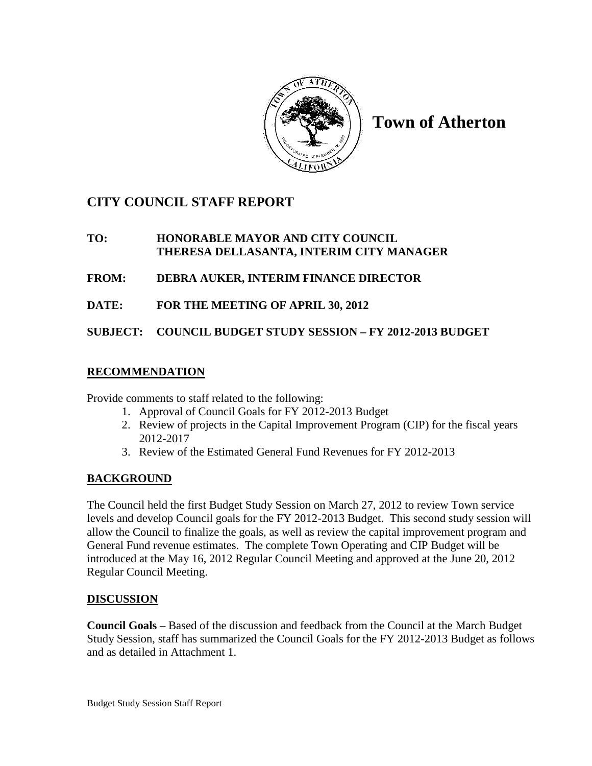

**Town of Atherton**

# **CITY COUNCIL STAFF REPORT**

## **TO: HONORABLE MAYOR AND CITY COUNCIL THERESA DELLASANTA, INTERIM CITY MANAGER**

- **FROM: DEBRA AUKER, INTERIM FINANCE DIRECTOR**
- **DATE: FOR THE MEETING OF APRIL 30, 2012**

**SUBJECT: COUNCIL BUDGET STUDY SESSION – FY 2012-2013 BUDGET**

# **RECOMMENDATION**

Provide comments to staff related to the following:

- 1. Approval of Council Goals for FY 2012-2013 Budget
- 2. Review of projects in the Capital Improvement Program (CIP) for the fiscal years 2012-2017
- 3. Review of the Estimated General Fund Revenues for FY 2012-2013

## **BACKGROUND**

The Council held the first Budget Study Session on March 27, 2012 to review Town service levels and develop Council goals for the FY 2012-2013 Budget. This second study session will allow the Council to finalize the goals, as well as review the capital improvement program and General Fund revenue estimates. The complete Town Operating and CIP Budget will be introduced at the May 16, 2012 Regular Council Meeting and approved at the June 20, 2012 Regular Council Meeting.

## **DISCUSSION**

**Council Goals** – Based of the discussion and feedback from the Council at the March Budget Study Session, staff has summarized the Council Goals for the FY 2012-2013 Budget as follows and as detailed in Attachment 1.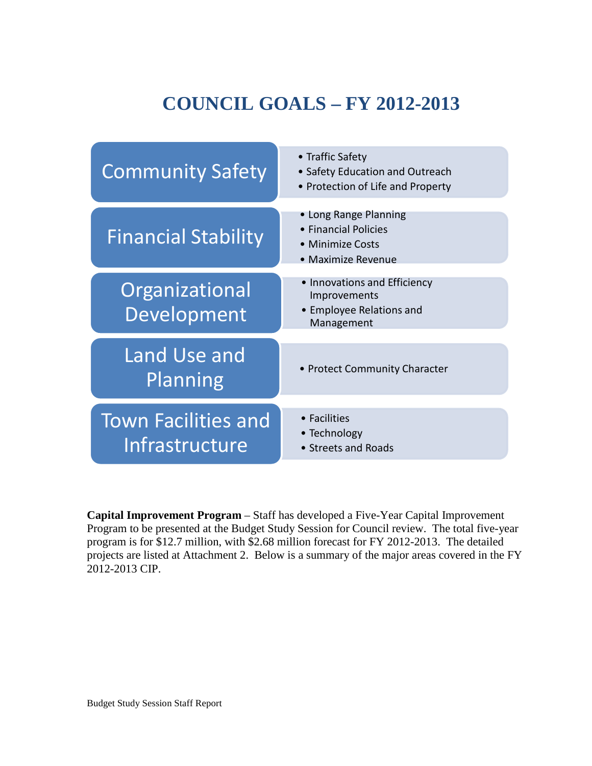# **COUNCIL GOALS – FY 2012-2013**



**Capital Improvement Program** – Staff has developed a Five-Year Capital Improvement Program to be presented at the Budget Study Session for Council review. The total five-year program is for \$12.7 million, with \$2.68 million forecast for FY 2012-2013. The detailed projects are listed at Attachment 2. Below is a summary of the major areas covered in the FY 2012-2013 CIP.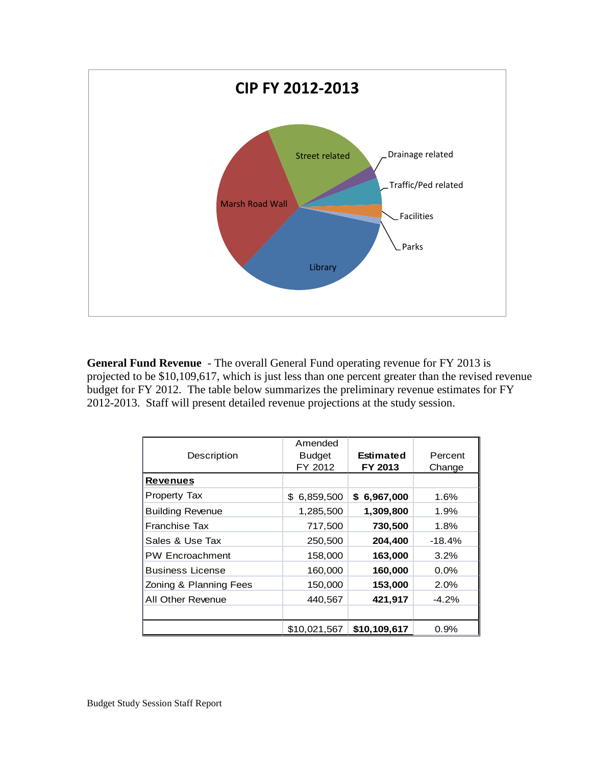

**General Fund Revenue** - The overall General Fund operating revenue for FY 2013 is projected to be \$10,109,617, which is just less than one percent greater than the revised revenue budget for FY 2012. The table below summarizes the preliminary revenue estimates for FY 2012-2013. Staff will present detailed revenue projections at the study session.

| Description             | Amended<br><b>Budget</b><br>FY 2012 | Estimated<br>FY 2013 | Percent<br>Change |
|-------------------------|-------------------------------------|----------------------|-------------------|
| <b>Revenues</b>         |                                     |                      |                   |
| <b>Property Tax</b>     | 6,859,500<br>\$                     | \$6,967,000          | 1.6%              |
| <b>Building Revenue</b> | 1,285,500                           | 1,309,800            | 1.9%              |
| <b>Franchise Tax</b>    | 717,500                             | 730,500              | 1.8%              |
| Sales & Use Tax         | 250,500                             | 204,400              | $-18.4\%$         |
| <b>PW Encroachment</b>  | 158,000                             | 163,000              | 3.2%              |
| <b>Business License</b> | 160,000                             | 160,000              | 0.0%              |
| Zoning & Planning Fees  | 150,000                             | 153,000              | 2.0%              |
| All Other Revenue       | 440,567                             | 421,917              | $-4.2%$           |
|                         |                                     |                      |                   |
|                         | \$10,021,567                        | \$10,109,617         | $0.9\%$           |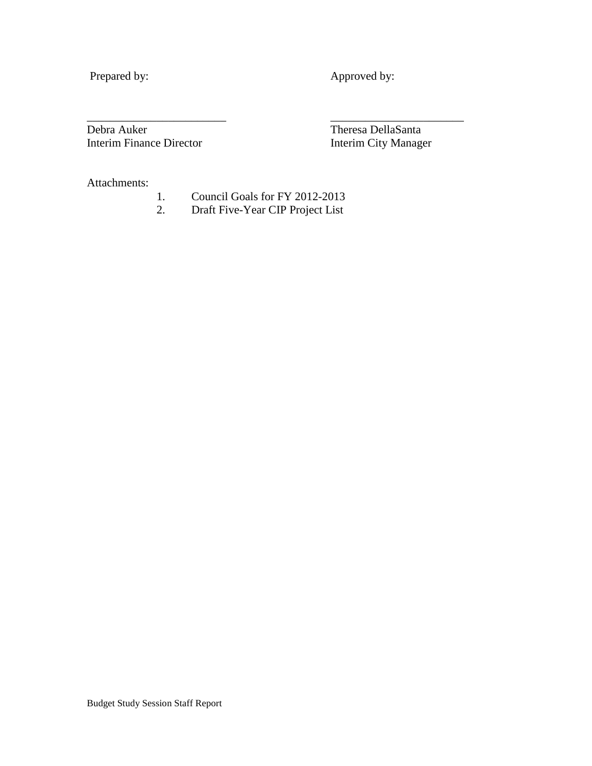Prepared by: Approved by:

Debra Auker<br>Interim Finance Director<br>Interim City Manager Interim Finance Director

Attachments:

1. Council Goals for FY 2012-2013<br>2. Draft Five-Year CIP Project List

\_\_\_\_\_\_\_\_\_\_\_\_\_\_\_\_\_\_\_\_\_\_\_\_ \_\_\_\_\_\_\_\_\_\_\_\_\_\_\_\_\_\_\_\_\_\_\_

2. Draft Five-Year CIP Project List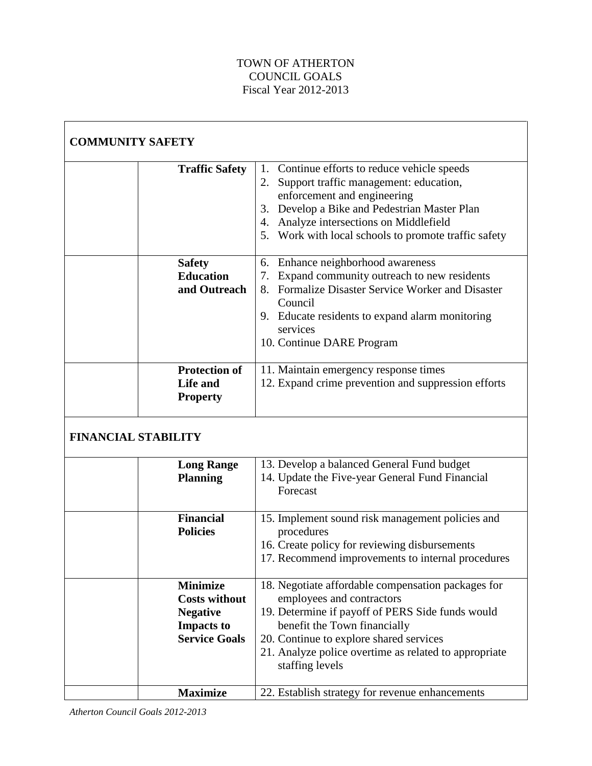## TOWN OF ATHERTON COUNCIL GOALS Fiscal Year 2012-2013

| <b>COMMUNITY SAFETY</b>    |                                                                                                         |                                                                                                                                                                                                                                                                                            |
|----------------------------|---------------------------------------------------------------------------------------------------------|--------------------------------------------------------------------------------------------------------------------------------------------------------------------------------------------------------------------------------------------------------------------------------------------|
|                            | <b>Traffic Safety</b>                                                                                   | 1. Continue efforts to reduce vehicle speeds<br>Support traffic management: education,<br>2.<br>enforcement and engineering<br>Develop a Bike and Pedestrian Master Plan<br>3.<br>Analyze intersections on Middlefield<br>4.<br>Work with local schools to promote traffic safety<br>5.    |
|                            | <b>Safety</b><br><b>Education</b><br>and Outreach                                                       | Enhance neighborhood awareness<br>6.<br>7. Expand community outreach to new residents<br>8. Formalize Disaster Service Worker and Disaster<br>Council<br>9. Educate residents to expand alarm monitoring<br>services<br>10. Continue DARE Program                                          |
|                            | <b>Protection of</b><br>Life and<br><b>Property</b>                                                     | 11. Maintain emergency response times<br>12. Expand crime prevention and suppression efforts                                                                                                                                                                                               |
| <b>FINANCIAL STABILITY</b> |                                                                                                         |                                                                                                                                                                                                                                                                                            |
|                            | <b>Long Range</b><br><b>Planning</b>                                                                    | 13. Develop a balanced General Fund budget<br>14. Update the Five-year General Fund Financial<br>Forecast                                                                                                                                                                                  |
|                            | <b>Financial</b><br><b>Policies</b>                                                                     | 15. Implement sound risk management policies and<br>procedures<br>16. Create policy for reviewing disbursements<br>17. Recommend improvements to internal procedures                                                                                                                       |
|                            | <b>Minimize</b><br><b>Costs without</b><br><b>Negative</b><br><b>Impacts to</b><br><b>Service Goals</b> | 18. Negotiate affordable compensation packages for<br>employees and contractors<br>19. Determine if payoff of PERS Side funds would<br>benefit the Town financially<br>20. Continue to explore shared services<br>21. Analyze police overtime as related to appropriate<br>staffing levels |
|                            | <b>Maximize</b>                                                                                         | 22. Establish strategy for revenue enhancements                                                                                                                                                                                                                                            |

*Atherton Council Goals 2012-2013*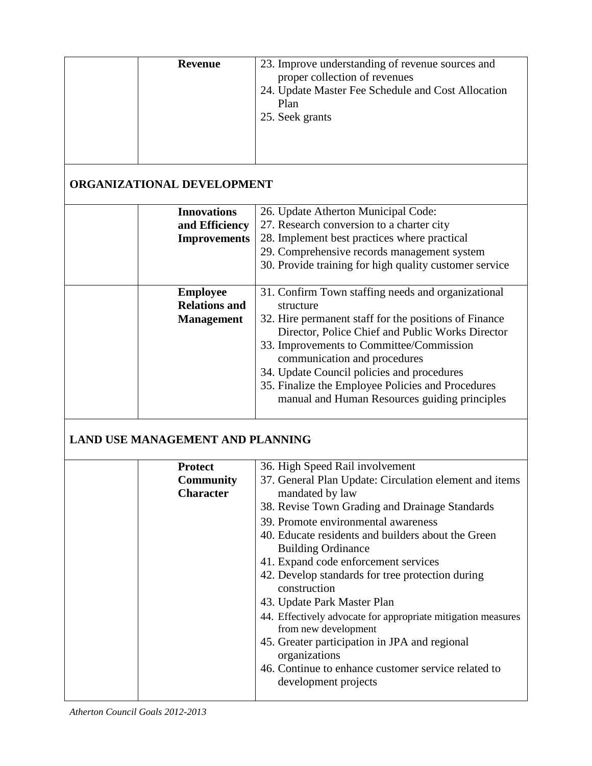| <b>Revenue</b>                                               | 23. Improve understanding of revenue sources and<br>proper collection of revenues<br>24. Update Master Fee Schedule and Cost Allocation<br>Plan<br>25. Seek grants                                                                                                                                                                                                                                                                                                                                                                                                                                                                                                           |
|--------------------------------------------------------------|------------------------------------------------------------------------------------------------------------------------------------------------------------------------------------------------------------------------------------------------------------------------------------------------------------------------------------------------------------------------------------------------------------------------------------------------------------------------------------------------------------------------------------------------------------------------------------------------------------------------------------------------------------------------------|
| <b>ORGANIZATIONAL DEVELOPMENT</b>                            |                                                                                                                                                                                                                                                                                                                                                                                                                                                                                                                                                                                                                                                                              |
| <b>Innovations</b><br>and Efficiency<br><b>Improvements</b>  | 26. Update Atherton Municipal Code:<br>27. Research conversion to a charter city<br>28. Implement best practices where practical<br>29. Comprehensive records management system<br>30. Provide training for high quality customer service                                                                                                                                                                                                                                                                                                                                                                                                                                    |
| <b>Employee</b><br><b>Relations and</b><br><b>Management</b> | 31. Confirm Town staffing needs and organizational<br>structure<br>32. Hire permanent staff for the positions of Finance<br>Director, Police Chief and Public Works Director<br>33. Improvements to Committee/Commission<br>communication and procedures<br>34. Update Council policies and procedures<br>35. Finalize the Employee Policies and Procedures<br>manual and Human Resources guiding principles                                                                                                                                                                                                                                                                 |
| <b>LAND USE MANAGEMENT AND PLANNING</b>                      |                                                                                                                                                                                                                                                                                                                                                                                                                                                                                                                                                                                                                                                                              |
| <b>Protect</b><br><b>Community</b><br><b>Character</b>       | 36. High Speed Rail involvement<br>37. General Plan Update: Circulation element and items<br>mandated by law<br>38. Revise Town Grading and Drainage Standards<br>39. Promote environmental awareness<br>40. Educate residents and builders about the Green<br><b>Building Ordinance</b><br>41. Expand code enforcement services<br>42. Develop standards for tree protection during<br>construction<br>43. Update Park Master Plan<br>44. Effectively advocate for appropriate mitigation measures<br>from new development<br>45. Greater participation in JPA and regional<br>organizations<br>46. Continue to enhance customer service related to<br>development projects |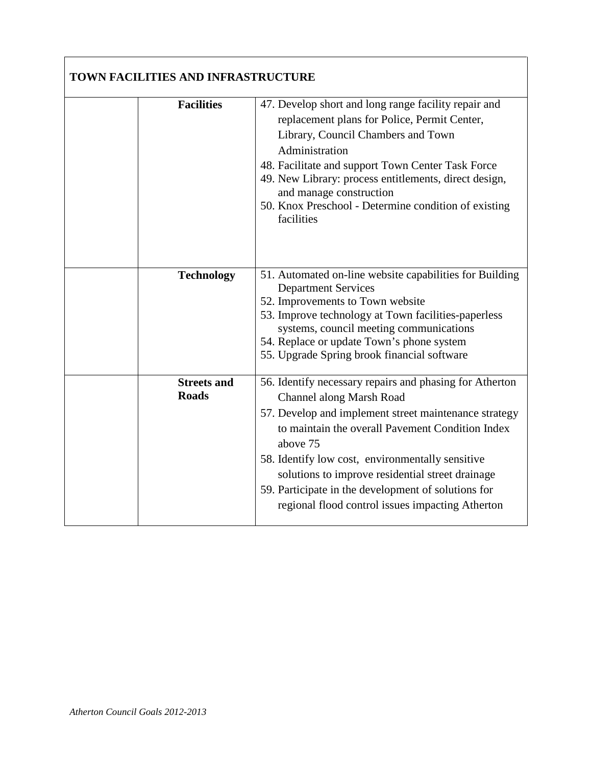| TOWN FACILITIES AND INFRASTRUCTURE |                                                                                                                                                                                                                                                                                                                                                                                                                                 |
|------------------------------------|---------------------------------------------------------------------------------------------------------------------------------------------------------------------------------------------------------------------------------------------------------------------------------------------------------------------------------------------------------------------------------------------------------------------------------|
| <b>Facilities</b>                  | 47. Develop short and long range facility repair and<br>replacement plans for Police, Permit Center,<br>Library, Council Chambers and Town<br>Administration<br>48. Facilitate and support Town Center Task Force<br>49. New Library: process entitlements, direct design,<br>and manage construction<br>50. Knox Preschool - Determine condition of existing<br>facilities                                                     |
| <b>Technology</b>                  | 51. Automated on-line website capabilities for Building<br><b>Department Services</b><br>52. Improvements to Town website<br>53. Improve technology at Town facilities-paperless<br>systems, council meeting communications<br>54. Replace or update Town's phone system<br>55. Upgrade Spring brook financial software                                                                                                         |
| <b>Streets and</b><br><b>Roads</b> | 56. Identify necessary repairs and phasing for Atherton<br>Channel along Marsh Road<br>57. Develop and implement street maintenance strategy<br>to maintain the overall Pavement Condition Index<br>above 75<br>58. Identify low cost, environmentally sensitive<br>solutions to improve residential street drainage<br>59. Participate in the development of solutions for<br>regional flood control issues impacting Atherton |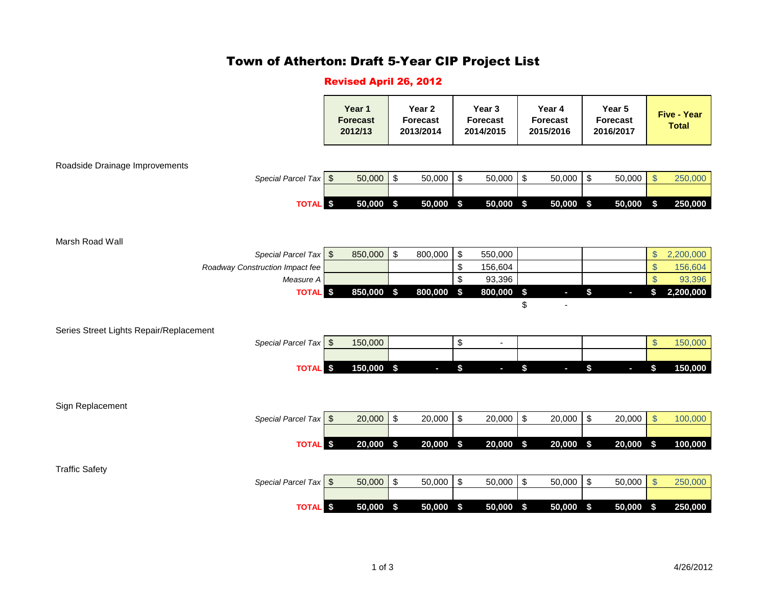# Town of Atherton: Draft 5-Year CIP Project List

#### Revised April 26, 2012

|                                         | Year 1<br><b>Forecast</b><br>2012/13 |              | Year 2<br><b>Forecast</b><br>2013/2014    |             | Year 3<br><b>Forecast</b><br>2014/2015 |                             | Year 4<br><b>Forecast</b><br>2015/2016 |           | Year 5<br><b>Forecast</b><br>2016/2017 |                         | <b>Five - Year</b><br><b>Total</b> |
|-----------------------------------------|--------------------------------------|--------------|-------------------------------------------|-------------|----------------------------------------|-----------------------------|----------------------------------------|-----------|----------------------------------------|-------------------------|------------------------------------|
| Roadside Drainage Improvements          |                                      |              |                                           |             |                                        |                             |                                        |           |                                        |                         |                                    |
| Special Parcel Tax \$                   |                                      | 50,000       | $\,$                                      | 50,000      | $\sqrt[6]{3}$                          | 50,000                      | $\boldsymbol{\mathsf{S}}$              | 50,000    | $\,$<br>50,000                         | $\sqrt[6]{\frac{1}{2}}$ | 250,000                            |
| <b>TOTAL</b> \$                         |                                      | 50,000 \$    |                                           | 50,000 \$   |                                        | $50,000$ \$                 |                                        | 50,000 \$ | 50,000                                 | \$                      | 250,000                            |
| Marsh Road Wall                         |                                      |              |                                           |             |                                        |                             |                                        |           |                                        |                         |                                    |
| Special Parcel Tax \$                   |                                      | 850,000      | $\,$                                      | 800,000     | $\boldsymbol{\theta}$                  | 550,000                     |                                        |           |                                        | $\frac{1}{2}$           | 2,200,000                          |
| Roadway Construction Impact fee         |                                      |              |                                           |             | \$                                     | 156,604                     |                                        |           |                                        | $\frac{1}{2}$           | 156,604                            |
| Measure A<br><b>TOTAL</b> \$            |                                      | $850,000$ \$ |                                           | 800,000     | \$<br>\$                               | 93,396<br>800,000           | $\boldsymbol{\hat{\mathsf{s}}}$        |           | \$<br>ı                                | $\mathcal{S}$<br>\$     | 93,396<br>2,200,000                |
|                                         |                                      |              |                                           |             |                                        |                             | \$                                     |           |                                        |                         |                                    |
| Series Street Lights Repair/Replacement |                                      |              |                                           |             |                                        |                             |                                        |           |                                        |                         |                                    |
| Special Parcel Tax \$                   |                                      | 150,000      |                                           |             | \$                                     | $\blacksquare$              |                                        |           |                                        | $\frac{1}{2}$           | 150,000                            |
| <b>TOTAL</b> \$                         |                                      | 150,000 \$   |                                           | $\sim$      | \$                                     | $\mathcal{L}_{\mathcal{A}}$ | \$                                     | $\sim$    | \$<br>b.                               | \$                      | 150,000                            |
|                                         |                                      |              |                                           |             |                                        |                             |                                        |           |                                        |                         |                                    |
| Sign Replacement                        |                                      |              |                                           |             |                                        |                             |                                        |           |                                        |                         |                                    |
| Special Parcel Tax \$                   |                                      | 20,000       | $$\mathfrak{s}$$                          | 20,000      | $\sqrt[6]{\frac{1}{2}}$                | 20,000                      | $\sqrt[6]{3}$                          | 20,000    | $\,$<br>20,000                         | $\mathsf{\$}$           | 100,000                            |
| <b>TOTAL</b> S                          |                                      | 20,000       | $\sqrt{5}$                                | $20,000$ \$ |                                        | 20,000                      | $\boldsymbol{\mathsf{s}}$              | 20,000 \$ | 20,000                                 | \$                      | 100,000                            |
| <b>Traffic Safety</b>                   |                                      |              |                                           |             |                                        |                             |                                        |           |                                        |                         |                                    |
| Special Parcel Tax \$                   |                                      | 50,000       | $\, \, \raisebox{12pt}{$\scriptstyle \$}$ | 50,000      | $\boldsymbol{\mathsf{S}}$              | 50,000                      | $\sqrt[6]{\frac{1}{2}}$                | 50,000    | $\sqrt[6]{\frac{1}{2}}$<br>50,000      | $\sqrt{3}$              | 250,000                            |
| <b>TOTAL</b> \$                         |                                      | 50,000 \$    |                                           | $50,000$ \$ |                                        | 50,000 \$                   |                                        | 50,000 \$ | 50,000                                 | $\sqrt{5}$              | 250,000                            |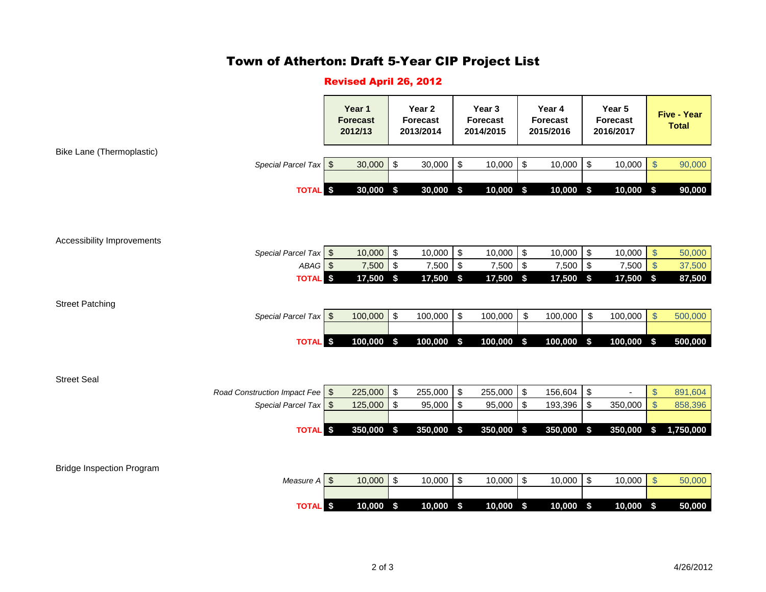# Town of Atherton: Draft 5-Year CIP Project List

### Revised April 26, 2012

|                                  |                                                            | Year 1<br><b>Forecast</b><br>2012/13 |                    | Year 2<br><b>Forecast</b><br>2013/2014                 |                        | Year 3<br><b>Forecast</b><br>2014/2015 |                   | Year 4<br><b>Forecast</b><br>2015/2016   |                    | Year 5<br><b>Forecast</b><br>2016/2017      |             | <b>Five - Year</b><br><b>Total</b> |                    |
|----------------------------------|------------------------------------------------------------|--------------------------------------|--------------------|--------------------------------------------------------|------------------------|----------------------------------------|-------------------|------------------------------------------|--------------------|---------------------------------------------|-------------|------------------------------------|--------------------|
| Bike Lane (Thermoplastic)        |                                                            |                                      |                    |                                                        |                        |                                        |                   |                                          |                    |                                             |             |                                    |                    |
|                                  | Special Parcel Tax \$                                      |                                      | 30,000             | $\sqrt[6]{\frac{1}{2}}$                                | 30,000                 | $$\mathbb{S}$$                         | 10,000            | $\boldsymbol{\mathsf{S}}$                | 10,000             | $\boldsymbol{\mathsf{S}}$                   | 10,000      | $\sqrt[6]{\frac{1}{2}}$            | 90,000             |
|                                  | <b>TOTAL</b> \$                                            |                                      | 30,000             | $\boldsymbol{\hat{\mathsf{s}}}$                        | $30,000$ \$            |                                        | $10,000$ \$       |                                          | 10,000             | $\boldsymbol{\hat{\theta}}$                 | $10,000$ \$ |                                    | 90,000             |
| Accessibility Improvements       |                                                            |                                      |                    |                                                        |                        |                                        |                   |                                          |                    |                                             |             |                                    |                    |
|                                  | Special Parcel Tax \$                                      |                                      | 10,000             | $\boldsymbol{\mathsf{S}}$                              | 10,000                 | \$                                     | 10,000            | \$                                       | 10,000             | $\boldsymbol{\mathsf{S}}$                   | 10,000      | $\sqrt[6]{\frac{1}{2}}$            | 50,000             |
|                                  | ABAG <sup>S</sup>                                          |                                      | 7,500              | $\sqrt{2}$                                             | 7,500                  | $\$$                                   | 7,500             | \$                                       | 7,500 \$           |                                             | 7,500       | $\sqrt[6]{3}$                      | 37,500             |
|                                  | <b>TOTAL</b> \$                                            |                                      | 17,500 \$          |                                                        | $\overline{17,500}$ \$ |                                        | $17,500$ \$       |                                          | 17,500 \$          |                                             | $17,500$ \$ |                                    | 87,500             |
| <b>Street Patching</b>           | Special Parcel Tax \\$                                     |                                      | 100,000            | $\sqrt[6]{\frac{1}{2}}$                                | 100,000                | \$                                     | 100,000           | \$                                       | 100,000            | $\boldsymbol{\mathsf{S}}$                   | 100,000     | $\frac{1}{2}$                      | 500,000            |
|                                  | <b>TOTAL</b> S                                             |                                      | 100,000 \$         |                                                        | $100,000$ \$           |                                        | 100,000 \$        |                                          | 100,000            | $\sqrt{3}$                                  | 100,000 \$  |                                    | 500,000            |
| <b>Street Seal</b>               | Road Construction Impact Fee \\$<br>Special Parcel Tax \\$ |                                      | 225,000<br>125,000 | $\boldsymbol{\mathsf{S}}$<br>$\boldsymbol{\mathsf{S}}$ | 255,000<br>95,000      | $\$$<br>\$                             | 255,000<br>95,000 | $\sqrt[6]{3}$<br>$\sqrt[6]{\frac{1}{2}}$ | 156,604<br>193,396 | $\sqrt[6]{3}$<br>$\boldsymbol{\mathsf{\$}}$ | 350,000     | $\frac{1}{2}$<br>$\frac{1}{2}$     | 891,604<br>858,396 |
|                                  |                                                            |                                      |                    |                                                        |                        |                                        |                   |                                          |                    |                                             |             |                                    |                    |
|                                  | <b>TOTAL</b>                                               | -\$                                  | 350,000            | \$                                                     | 350,000                | $\boldsymbol{\hat{s}}$                 | 350,000           | \$                                       | 350,000            | \$                                          | 350,000     | \$                                 | 1,750,000          |
| <b>Bridge Inspection Program</b> |                                                            |                                      |                    |                                                        |                        |                                        |                   |                                          |                    |                                             |             |                                    |                    |
|                                  | Measure $A \succeq \S$                                     |                                      | 10,000             | $\boldsymbol{\mathsf{S}}$                              | 10,000                 | \$                                     | 10,000            | \$                                       | 10,000             | $\boldsymbol{\mathsf{\$}}$                  | 10,000      | $\$\$                              | 50,000             |
|                                  | <b>TOTAL</b> \$                                            |                                      | $10,000$ \$        |                                                        | $10,000$ \$            |                                        | $10,000$ \$       |                                          | $10,000$ \$        |                                             | 10,000 \$   |                                    | 50,000             |